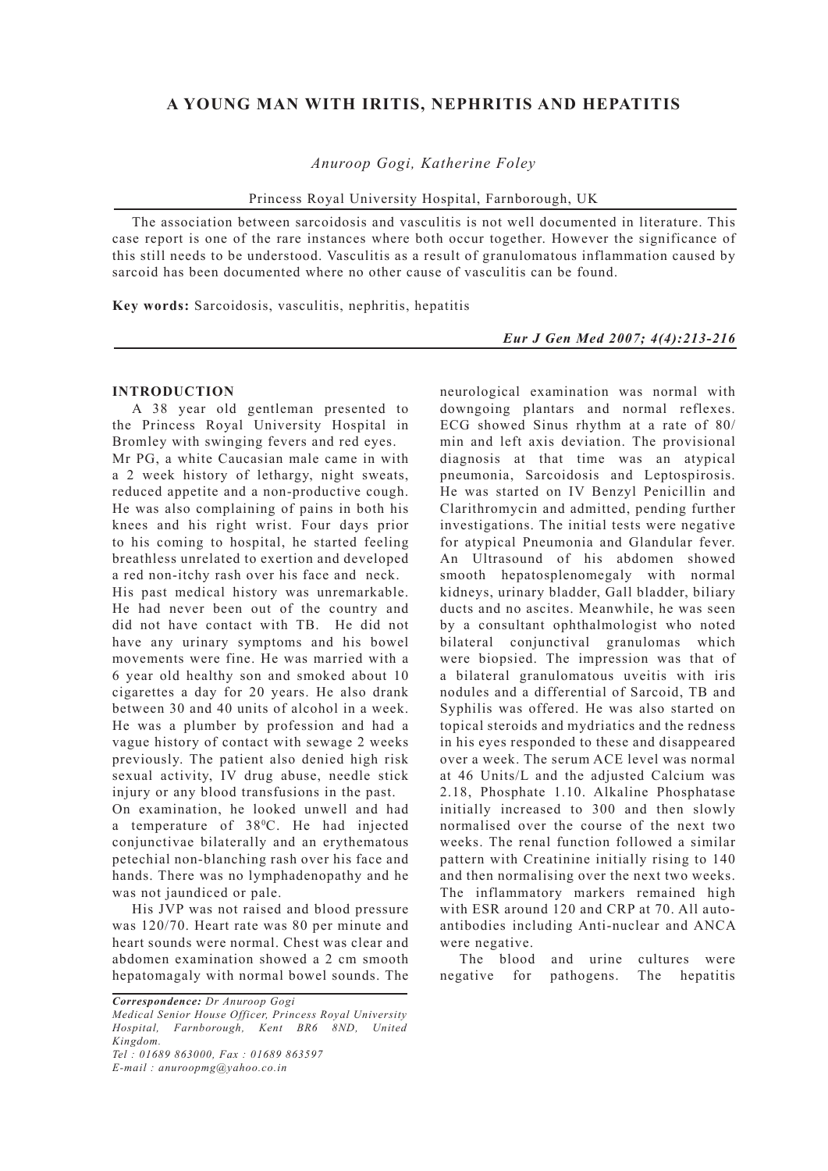## **A YOUNG MAN WITH IRITIS, NEPHRITIS AND HEPATITIS**

*Anuroop Gogi, Katherine Foley*

Princess Royal University Hospital, Farnborough, UK

The association between sarcoidosis and vasculitis is not well documented in literature. This case report is one of the rare instances where both occur together. However the significance of this still needs to be understood. Vasculitis as a result of granulomatous inflammation caused by sarcoid has been documented where no other cause of vasculitis can be found.

**Key words:** Sarcoidosis, vasculitis, nephritis, hepatitis

*Eur J Gen Med 2007; 4(4):213-216*

## **INTRODUCTION**

A 38 year old gentleman presented to the Princess Royal University Hospital in Bromley with swinging fevers and red eyes.

Mr PG, a white Caucasian male came in with a 2 week history of lethargy, night sweats, reduced appetite and a non-productive cough. He was also complaining of pains in both his knees and his right wrist. Four days prior to his coming to hospital, he started feeling breathless unrelated to exertion and developed a red non-itchy rash over his face and neck.

His past medical history was unremarkable. He had never been out of the country and did not have contact with TB. He did not have any urinary symptoms and his bowel movements were fine. He was married with a 6 year old healthy son and smoked about 10 cigarettes a day for 20 years. He also drank between 30 and 40 units of alcohol in a week. He was a plumber by profession and had a vague history of contact with sewage 2 weeks previously. The patient also denied high risk sexual activity, IV drug abuse, needle stick injury or any blood transfusions in the past.

On examination, he looked unwell and had a temperature of 38<sup>°</sup>C. He had injected conjunctivae bilaterally and an erythematous petechial non-blanching rash over his face and hands. There was no lymphadenopathy and he was not jaundiced or pale.

His JVP was not raised and blood pressure was 120/70. Heart rate was 80 per minute and heart sounds were normal. Chest was clear and abdomen examination showed a 2 cm smooth hepatomagaly with normal bowel sounds. The

*Correspondence: Dr Anuroop Gogi*

*Medical Senior House Officer, Princess Royal University Hospital, Farnborough, Kent BR6 8ND, United Kingdom.*

*Tel : 01689 863000, Fax : 01689 863597 E-mail : anuroopmg@yahoo.co.in*

neurological examination was normal with downgoing plantars and normal reflexes. ECG showed Sinus rhythm at a rate of 80/ min and left axis deviation. The provisional diagnosis at that time was an atypical pneumonia, Sarcoidosis and Leptospirosis. He was started on IV Benzyl Penicillin and Clarithromycin and admitted, pending further investigations. The initial tests were negative for atypical Pneumonia and Glandular fever. An Ultrasound of his abdomen showed smooth hepatosplenomegaly with normal kidneys, urinary bladder, Gall bladder, biliary ducts and no ascites. Meanwhile, he was seen by a consultant ophthalmologist who noted bilateral conjunctival granulomas which were biopsied. The impression was that of a bilateral granulomatous uveitis with iris nodules and a differential of Sarcoid, TB and Syphilis was offered. He was also started on topical steroids and mydriatics and the redness in his eyes responded to these and disappeared over a week. The serum ACE level was normal at 46 Units/L and the adjusted Calcium was 2.18, Phosphate 1.10. Alkaline Phosphatase initially increased to 300 and then slowly normalised over the course of the next two weeks. The renal function followed a similar pattern with Creatinine initially rising to 140 and then normalising over the next two weeks. The inflammatory markers remained high with ESR around 120 and CRP at 70. All autoantibodies including Anti-nuclear and ANCA were negative.

The blood and urine cultures were negative for pathogens. The hepatitis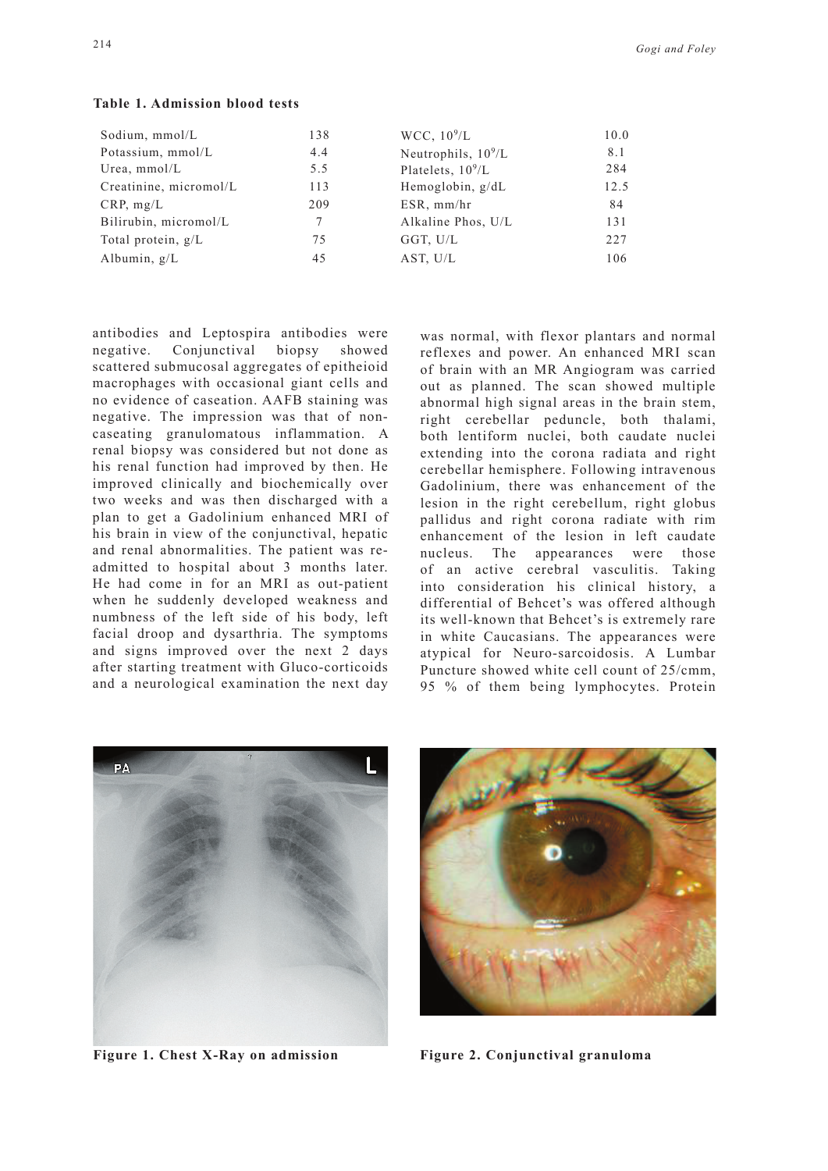| Sodium, mmol/L         | 138 | WCC, $10^9/L$         | 10.0 |
|------------------------|-----|-----------------------|------|
| Potassium, mmol/L      | 4.4 | Neutrophils, $10^9/L$ | 8.1  |
| Urea, $mmol/L$         | 5.5 | Platelets, $10^9/L$   | 284  |
| Creatinine, micromol/L | 113 | Hemoglobin, g/dL      | 12.5 |
| CRP, mg/L              | 209 | ESR, mm/hr            | 84   |
| Bilirubin, micromol/L  |     | Alkaline Phos, U/L    | 131  |
| Total protein, $g/L$   | 75  | GGT, U/L              | 227  |
| Albumin, $g/L$         | 45  | AST, U/L              | 106  |
|                        |     |                       |      |

**Table 1. Admission blood tests**

antibodies and Leptospira antibodies were negative. Conjunctival biopsy showed scattered submucosal aggregates of epitheioid macrophages with occasional giant cells and no evidence of caseation. AAFB staining was negative. The impression was that of noncaseating granulomatous inflammation. A renal biopsy was considered but not done as his renal function had improved by then. He improved clinically and biochemically over two weeks and was then discharged with a plan to get a Gadolinium enhanced MRI of his brain in view of the conjunctival, hepatic and renal abnormalities. The patient was readmitted to hospital about 3 months later. He had come in for an MRI as out-patient when he suddenly developed weakness and numbness of the left side of his body, left facial droop and dysarthria. The symptoms and signs improved over the next 2 days after starting treatment with Gluco-corticoids and a neurological examination the next day

was normal, with flexor plantars and normal reflexes and power. An enhanced MRI scan of brain with an MR Angiogram was carried out as planned. The scan showed multiple abnormal high signal areas in the brain stem, right cerebellar peduncle, both thalami, both lentiform nuclei, both caudate nuclei extending into the corona radiata and right cerebellar hemisphere. Following intravenous Gadolinium, there was enhancement of the lesion in the right cerebellum, right globus pallidus and right corona radiate with rim enhancement of the lesion in left caudate nucleus. The appearances were those of an active cerebral vasculitis. Taking into consideration his clinical history, a differential of Behcet's was offered although its well-known that Behcet's is extremely rare in white Caucasians. The appearances were atypical for Neuro-sarcoidosis. A Lumbar Puncture showed white cell count of 25/cmm, 95 % of them being lymphocytes. Protein





**Figure 1. Chest X-Ray on admission Figure 2. Conjunctival granuloma**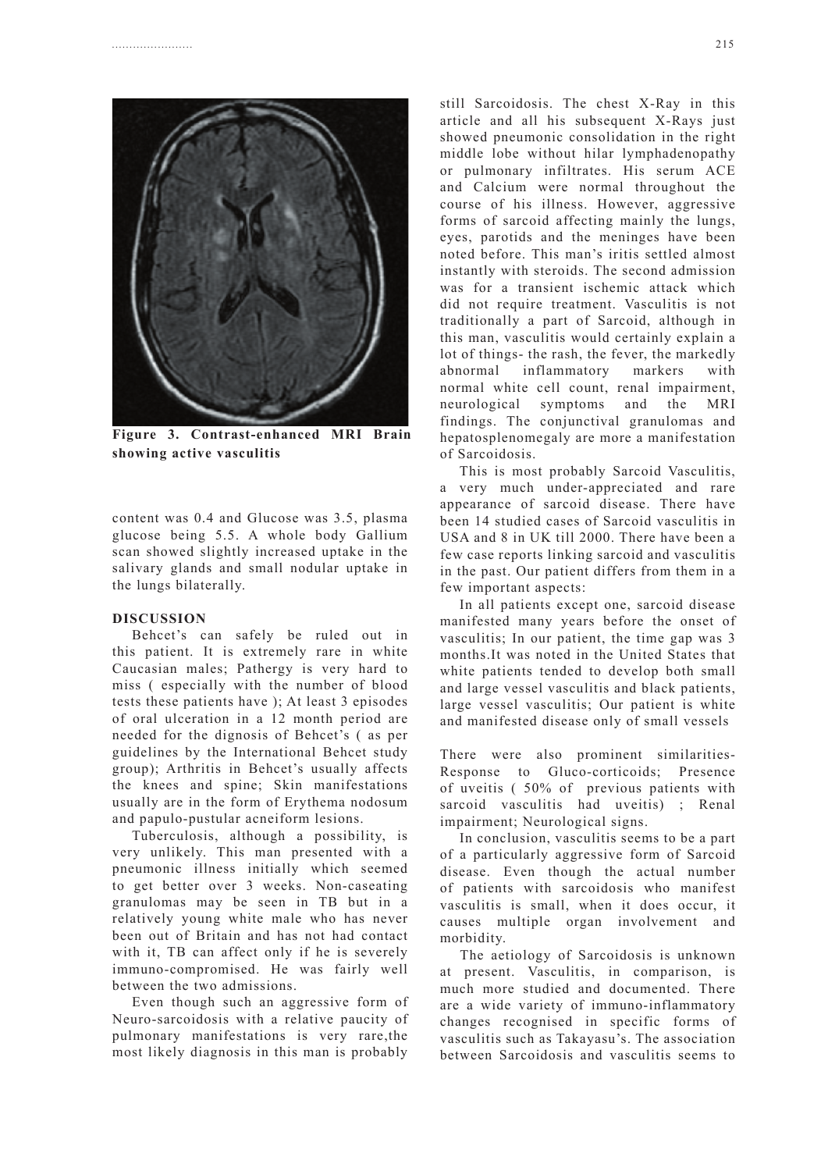

**Figure 3. Contrast-enhanced MRI Brain showing active vasculitis**

content was 0.4 and Glucose was 3.5, plasma glucose being 5.5. A whole body Gallium scan showed slightly increased uptake in the salivary glands and small nodular uptake in the lungs bilaterally.

## **DISCUSSION**

Behcet's can safely be ruled out in this patient. It is extremely rare in white Caucasian males; Pathergy is very hard to miss ( especially with the number of blood tests these patients have ); At least 3 episodes of oral ulceration in a 12 month period are needed for the dignosis of Behcet's ( as per guidelines by the International Behcet study group); Arthritis in Behcet's usually affects the knees and spine; Skin manifestations usually are in the form of Erythema nodosum and papulo-pustular acneiform lesions.

Tuberculosis, although a possibility, is very unlikely. This man presented with a pneumonic illness initially which seemed to get better over 3 weeks. Non-caseating granulomas may be seen in TB but in a relatively young white male who has never been out of Britain and has not had contact with it, TB can affect only if he is severely immuno-compromised. He was fairly well between the two admissions.

Even though such an aggressive form of Neuro-sarcoidosis with a relative paucity of pulmonary manifestations is very rare,the most likely diagnosis in this man is probably

still Sarcoidosis. The chest X-Ray in this article and all his subsequent X-Rays just showed pneumonic consolidation in the right middle lobe without hilar lymphadenopathy or pulmonary infiltrates. His serum ACE and Calcium were normal throughout the course of his illness. However, aggressive forms of sarcoid affecting mainly the lungs, eyes, parotids and the meninges have been noted before. This man's iritis settled almost instantly with steroids. The second admission was for a transient ischemic attack which did not require treatment. Vasculitis is not traditionally a part of Sarcoid, although in this man, vasculitis would certainly explain a lot of things- the rash, the fever, the markedly abnormal inflammatory markers with normal white cell count, renal impairment, neurological symptoms and the MRI findings. The conjunctival granulomas and hepatosplenomegaly are more a manifestation of Sarcoidosis.

This is most probably Sarcoid Vasculitis, a very much under-appreciated and rare appearance of sarcoid disease. There have been 14 studied cases of Sarcoid vasculitis in USA and 8 in UK till 2000. There have been a few case reports linking sarcoid and vasculitis in the past. Our patient differs from them in a few important aspects:

In all patients except one, sarcoid disease manifested many years before the onset of vasculitis; In our patient, the time gap was 3 months.It was noted in the United States that white patients tended to develop both small and large vessel vasculitis and black patients, large vessel vasculitis; Our patient is white and manifested disease only of small vessels

There were also prominent similarities-Response to Gluco-corticoids; Presence of uveitis ( 50% of previous patients with sarcoid vasculitis had uveitis) ; Renal impairment; Neurological signs.

In conclusion, vasculitis seems to be a part of a particularly aggressive form of Sarcoid disease. Even though the actual number of patients with sarcoidosis who manifest vasculitis is small, when it does occur, it causes multiple organ involvement and morbidity.

 The aetiology of Sarcoidosis is unknown at present. Vasculitis, in comparison, is much more studied and documented. There are a wide variety of immuno-inflammatory changes recognised in specific forms of vasculitis such as Takayasu's. The association between Sarcoidosis and vasculitis seems to